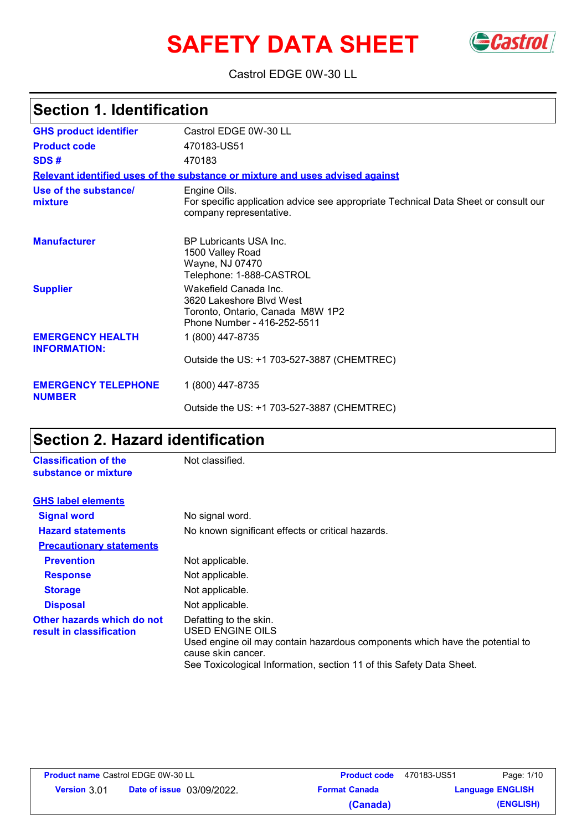# **SAFETY DATA SHEET** Gastrol



Castrol EDGE 0W-30 LL

## **Section 1. Identification**

| <b>GHS product identifier</b>                  | Castrol EDGE 0W-30 LL                                                                                                          |
|------------------------------------------------|--------------------------------------------------------------------------------------------------------------------------------|
| <b>Product code</b>                            | 470183-US51                                                                                                                    |
| SDS#                                           | 470183                                                                                                                         |
|                                                | Relevant identified uses of the substance or mixture and uses advised against                                                  |
| Use of the substance/<br>mixture               | Engine Oils.<br>For specific application advice see appropriate Technical Data Sheet or consult our<br>company representative. |
| <b>Manufacturer</b>                            | <b>BP Lubricants USA Inc.</b><br>1500 Valley Road<br>Wayne, NJ 07470<br>Telephone: 1-888-CASTROL                               |
| <b>Supplier</b>                                | Wakefield Canada Inc.<br>3620 Lakeshore Blvd West<br>Toronto, Ontario, Canada M8W 1P2<br>Phone Number - 416-252-5511           |
| <b>EMERGENCY HEALTH</b><br><b>INFORMATION:</b> | 1 (800) 447-8735                                                                                                               |
| <b>EMERGENCY TELEPHONE</b>                     | Outside the US: +1 703-527-3887 (CHEMTREC)<br>1 (800) 447-8735                                                                 |
| <b>NUMBER</b>                                  | Outside the US: +1 703-527-3887 (CHEMTREC)                                                                                     |

## **Section 2. Hazard identification**

| <b>Classification of the</b><br>substance or mixture   | Not classified.                                                                                                                                  |
|--------------------------------------------------------|--------------------------------------------------------------------------------------------------------------------------------------------------|
| <b>GHS label elements</b>                              |                                                                                                                                                  |
| <b>Signal word</b>                                     | No signal word.                                                                                                                                  |
| <b>Hazard statements</b>                               | No known significant effects or critical hazards.                                                                                                |
| <b>Precautionary statements</b>                        |                                                                                                                                                  |
| <b>Prevention</b>                                      | Not applicable.                                                                                                                                  |
| <b>Response</b>                                        | Not applicable.                                                                                                                                  |
| <b>Storage</b>                                         | Not applicable.                                                                                                                                  |
| <b>Disposal</b>                                        | Not applicable.                                                                                                                                  |
| Other hazards which do not<br>result in classification | Defatting to the skin.<br>USED ENGINE OILS<br>Used engine oil may contain hazardous components which have the potential to<br>cause skin cancer. |

| See Toxicological Information, section 11 of this Safety Data Sheet. |
|----------------------------------------------------------------------|
|----------------------------------------------------------------------|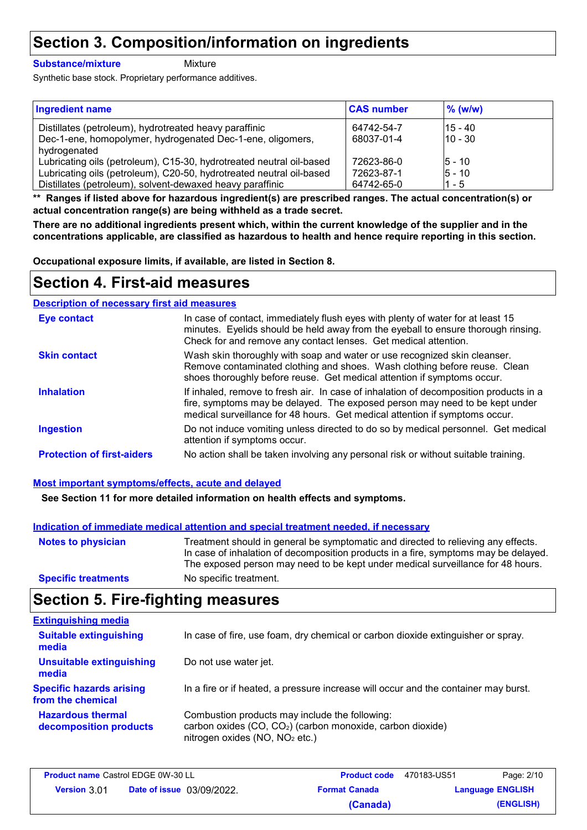## **Section 3. Composition/information on ingredients**

### **Substance/mixture**

**Mixture** 

Synthetic base stock. Proprietary performance additives.

| <b>Ingredient name</b>                                               | <b>CAS number</b> | $\%$ (w/w) |
|----------------------------------------------------------------------|-------------------|------------|
| Distillates (petroleum), hydrotreated heavy paraffinic               | 64742-54-7        | $15 - 40$  |
| Dec-1-ene, homopolymer, hydrogenated Dec-1-ene, oligomers,           | 68037-01-4        | $10 - 30$  |
| hydrogenated                                                         |                   |            |
| Lubricating oils (petroleum), C15-30, hydrotreated neutral oil-based | 72623-86-0        | $5 - 10$   |
| Lubricating oils (petroleum), C20-50, hydrotreated neutral oil-based | 72623-87-1        | $5 - 10$   |
| Distillates (petroleum), solvent-dewaxed heavy paraffinic            | 64742-65-0        | $1 - 5$    |

**\*\* Ranges if listed above for hazardous ingredient(s) are prescribed ranges. The actual concentration(s) or actual concentration range(s) are being withheld as a trade secret.**

**There are no additional ingredients present which, within the current knowledge of the supplier and in the concentrations applicable, are classified as hazardous to health and hence require reporting in this section.**

**Occupational exposure limits, if available, are listed in Section 8.**

## **Section 4. First-aid measures**

### **Description of necessary first aid measures**

| <b>Eye contact</b>                | In case of contact, immediately flush eyes with plenty of water for at least 15<br>minutes. Eyelids should be held away from the eyeball to ensure thorough rinsing.<br>Check for and remove any contact lenses. Get medical attention.             |
|-----------------------------------|-----------------------------------------------------------------------------------------------------------------------------------------------------------------------------------------------------------------------------------------------------|
| <b>Skin contact</b>               | Wash skin thoroughly with soap and water or use recognized skin cleanser.<br>Remove contaminated clothing and shoes. Wash clothing before reuse. Clean<br>shoes thoroughly before reuse. Get medical attention if symptoms occur.                   |
| <b>Inhalation</b>                 | If inhaled, remove to fresh air. In case of inhalation of decomposition products in a<br>fire, symptoms may be delayed. The exposed person may need to be kept under<br>medical surveillance for 48 hours. Get medical attention if symptoms occur. |
| <b>Ingestion</b>                  | Do not induce vomiting unless directed to do so by medical personnel. Get medical<br>attention if symptoms occur.                                                                                                                                   |
| <b>Protection of first-aiders</b> | No action shall be taken involving any personal risk or without suitable training.                                                                                                                                                                  |

### **Most important symptoms/effects, acute and delayed**

**See Section 11 for more detailed information on health effects and symptoms.**

### **Indication of immediate medical attention and special treatment needed, if necessary**

| <b>Notes to physician</b>  | Treatment should in general be symptomatic and directed to relieving any effects.<br>In case of inhalation of decomposition products in a fire, symptoms may be delayed.<br>The exposed person may need to be kept under medical surveillance for 48 hours. |
|----------------------------|-------------------------------------------------------------------------------------------------------------------------------------------------------------------------------------------------------------------------------------------------------------|
| <b>Specific treatments</b> | No specific treatment.                                                                                                                                                                                                                                      |

### **Section 5. Fire-fighting measures**

| <b>Extinguishing media</b>                           |                                                                                                                                                                        |
|------------------------------------------------------|------------------------------------------------------------------------------------------------------------------------------------------------------------------------|
| <b>Suitable extinguishing</b><br>media               | In case of fire, use foam, dry chemical or carbon dioxide extinguisher or spray.                                                                                       |
| <b>Unsuitable extinguishing</b><br>media             | Do not use water jet.                                                                                                                                                  |
| <b>Specific hazards arising</b><br>from the chemical | In a fire or if heated, a pressure increase will occur and the container may burst.                                                                                    |
| <b>Hazardous thermal</b><br>decomposition products   | Combustion products may include the following:<br>carbon oxides (CO, CO <sub>2</sub> ) (carbon monoxide, carbon dioxide)<br>nitrogen oxides (NO, NO <sub>2</sub> etc.) |

| <b>Product name Castrol EDGE 0W-30 LL</b> |                                  | <b>Product code</b>  | 470183-US51 | Page: 2/10              |
|-------------------------------------------|----------------------------------|----------------------|-------------|-------------------------|
| <b>Version 3.01</b>                       | <b>Date of issue</b> 03/09/2022. | <b>Format Canada</b> |             | <b>Language ENGLISH</b> |
|                                           |                                  | (Canada)             |             | (ENGLISH)               |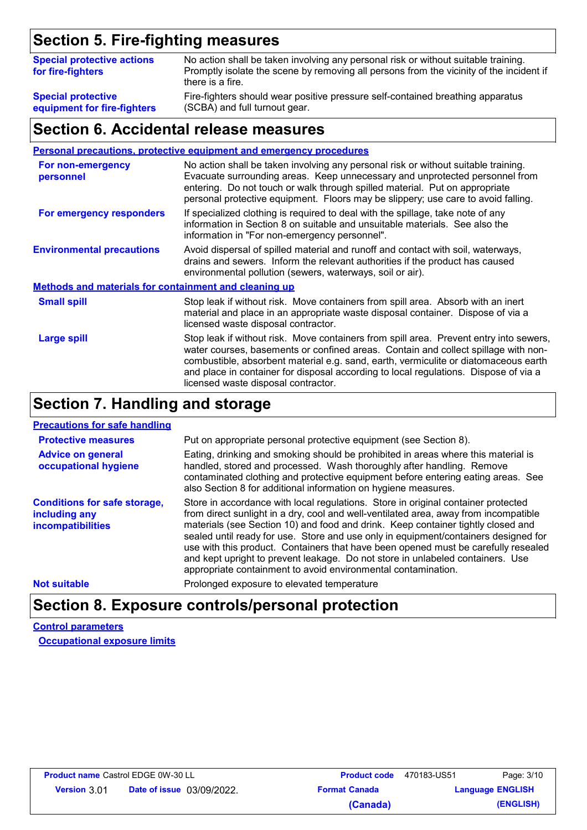## **Section 5. Fire-fighting measures**

| <b>Special protective actions</b><br>for fire-fighters | No action shall be taken involving any personal risk or without suitable training.<br>Promptly isolate the scene by removing all persons from the vicinity of the incident if<br>there is a fire. |
|--------------------------------------------------------|---------------------------------------------------------------------------------------------------------------------------------------------------------------------------------------------------|
| <b>Special protective</b>                              | Fire-fighters should wear positive pressure self-contained breathing apparatus                                                                                                                    |
| equipment for fire-fighters                            | (SCBA) and full turnout gear.                                                                                                                                                                     |

### **Section 6. Accidental release measures**

|                                                              | <b>Personal precautions, protective equipment and emergency procedures</b>                                                                                                                                                                                                                                                                                                                         |  |  |
|--------------------------------------------------------------|----------------------------------------------------------------------------------------------------------------------------------------------------------------------------------------------------------------------------------------------------------------------------------------------------------------------------------------------------------------------------------------------------|--|--|
| For non-emergency<br>personnel                               | No action shall be taken involving any personal risk or without suitable training.<br>Evacuate surrounding areas. Keep unnecessary and unprotected personnel from<br>entering. Do not touch or walk through spilled material. Put on appropriate<br>personal protective equipment. Floors may be slippery; use care to avoid falling.                                                              |  |  |
| For emergency responders                                     | If specialized clothing is required to deal with the spillage, take note of any<br>information in Section 8 on suitable and unsuitable materials. See also the<br>information in "For non-emergency personnel".                                                                                                                                                                                    |  |  |
| <b>Environmental precautions</b>                             | Avoid dispersal of spilled material and runoff and contact with soil, waterways,<br>drains and sewers. Inform the relevant authorities if the product has caused<br>environmental pollution (sewers, waterways, soil or air).                                                                                                                                                                      |  |  |
| <b>Methods and materials for containment and cleaning up</b> |                                                                                                                                                                                                                                                                                                                                                                                                    |  |  |
| <b>Small spill</b>                                           | Stop leak if without risk. Move containers from spill area. Absorb with an inert<br>material and place in an appropriate waste disposal container. Dispose of via a<br>licensed waste disposal contractor.                                                                                                                                                                                         |  |  |
| <b>Large spill</b>                                           | Stop leak if without risk. Move containers from spill area. Prevent entry into sewers,<br>water courses, basements or confined areas. Contain and collect spillage with non-<br>combustible, absorbent material e.g. sand, earth, vermiculite or diatomaceous earth<br>and place in container for disposal according to local regulations. Dispose of via a<br>licensed waste disposal contractor. |  |  |

### **Section 7. Handling and storage**

### **Precautions for safe handling**

| <b>Protective measures</b>                                                | Put on appropriate personal protective equipment (see Section 8).                                                                                                                                                                                                                                                                                                                                                                                                                                                                                                                             |
|---------------------------------------------------------------------------|-----------------------------------------------------------------------------------------------------------------------------------------------------------------------------------------------------------------------------------------------------------------------------------------------------------------------------------------------------------------------------------------------------------------------------------------------------------------------------------------------------------------------------------------------------------------------------------------------|
| <b>Advice on general</b><br>occupational hygiene                          | Eating, drinking and smoking should be prohibited in areas where this material is<br>handled, stored and processed. Wash thoroughly after handling. Remove<br>contaminated clothing and protective equipment before entering eating areas. See<br>also Section 8 for additional information on hygiene measures.                                                                                                                                                                                                                                                                              |
| <b>Conditions for safe storage,</b><br>including any<br>incompatibilities | Store in accordance with local regulations. Store in original container protected<br>from direct sunlight in a dry, cool and well-ventilated area, away from incompatible<br>materials (see Section 10) and food and drink. Keep container tightly closed and<br>sealed until ready for use. Store and use only in equipment/containers designed for<br>use with this product. Containers that have been opened must be carefully resealed<br>and kept upright to prevent leakage. Do not store in unlabeled containers. Use<br>appropriate containment to avoid environmental contamination. |
| <b>Not suitable</b>                                                       | Prolonged exposure to elevated temperature                                                                                                                                                                                                                                                                                                                                                                                                                                                                                                                                                    |

## **Section 8. Exposure controls/personal protection**

**Control parameters Occupational exposure limits**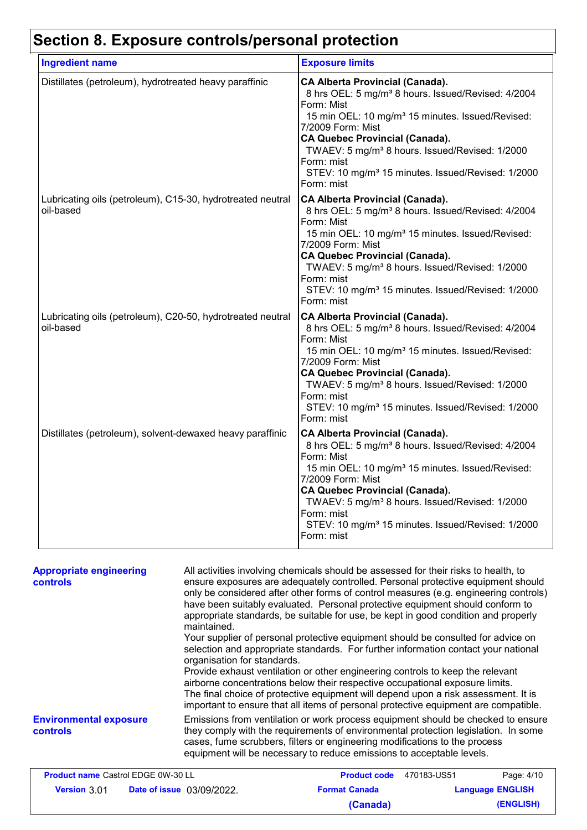# **Section 8. Exposure controls/personal protection**

| <b>Ingredient name</b>                                                  | <b>Exposure limits</b>                                                                                                                                                                                                                                                                                                                                                                                          |
|-------------------------------------------------------------------------|-----------------------------------------------------------------------------------------------------------------------------------------------------------------------------------------------------------------------------------------------------------------------------------------------------------------------------------------------------------------------------------------------------------------|
| Distillates (petroleum), hydrotreated heavy paraffinic                  | <b>CA Alberta Provincial (Canada).</b><br>8 hrs OEL: 5 mg/m <sup>3</sup> 8 hours. Issued/Revised: 4/2004<br>Form: Mist<br>15 min OEL: 10 mg/m <sup>3</sup> 15 minutes. Issued/Revised:<br>7/2009 Form: Mist<br><b>CA Quebec Provincial (Canada).</b><br>TWAEV: 5 mg/m <sup>3</sup> 8 hours. Issued/Revised: 1/2000<br>Form: mist<br>STEV: 10 mg/m <sup>3</sup> 15 minutes. Issued/Revised: 1/2000<br>Form: mist |
| Lubricating oils (petroleum), C15-30, hydrotreated neutral<br>oil-based | <b>CA Alberta Provincial (Canada).</b><br>8 hrs OEL: 5 mg/m <sup>3</sup> 8 hours. Issued/Revised: 4/2004<br>Form: Mist<br>15 min OEL: 10 mg/m <sup>3</sup> 15 minutes. Issued/Revised:<br>7/2009 Form: Mist<br><b>CA Quebec Provincial (Canada).</b><br>TWAEV: 5 mg/m <sup>3</sup> 8 hours. Issued/Revised: 1/2000<br>Form: mist<br>STEV: 10 mg/m <sup>3</sup> 15 minutes. Issued/Revised: 1/2000<br>Form: mist |
| Lubricating oils (petroleum), C20-50, hydrotreated neutral<br>oil-based | <b>CA Alberta Provincial (Canada).</b><br>8 hrs OEL: 5 mg/m <sup>3</sup> 8 hours. Issued/Revised: 4/2004<br>Form: Mist<br>15 min OEL: 10 mg/m <sup>3</sup> 15 minutes. Issued/Revised:<br>7/2009 Form: Mist<br><b>CA Quebec Provincial (Canada).</b><br>TWAEV: 5 mg/m <sup>3</sup> 8 hours. Issued/Revised: 1/2000<br>Form: mist<br>STEV: 10 mg/m <sup>3</sup> 15 minutes. Issued/Revised: 1/2000<br>Form: mist |
| Distillates (petroleum), solvent-dewaxed heavy paraffinic               | <b>CA Alberta Provincial (Canada).</b><br>8 hrs OEL: 5 mg/m <sup>3</sup> 8 hours. Issued/Revised: 4/2004<br>Form: Mist<br>15 min OEL: 10 mg/m <sup>3</sup> 15 minutes. Issued/Revised:<br>7/2009 Form: Mist<br><b>CA Quebec Provincial (Canada).</b><br>TWAEV: 5 mg/m <sup>3</sup> 8 hours. Issued/Revised: 1/2000<br>Form: mist<br>STEV: 10 mg/m <sup>3</sup> 15 minutes. Issued/Revised: 1/2000<br>Form: mist |

| <b>Appropriate engineering</b><br><b>controls</b> | All activities involving chemicals should be assessed for their risks to health, to<br>ensure exposures are adequately controlled. Personal protective equipment should<br>only be considered after other forms of control measures (e.g. engineering controls)<br>have been suitably evaluated. Personal protective equipment should conform to<br>appropriate standards, be suitable for use, be kept in good condition and properly<br>maintained.<br>Your supplier of personal protective equipment should be consulted for advice on<br>selection and appropriate standards. For further information contact your national<br>organisation for standards.<br>Provide exhaust ventilation or other engineering controls to keep the relevant<br>airborne concentrations below their respective occupational exposure limits.<br>The final choice of protective equipment will depend upon a risk assessment. It is<br>important to ensure that all items of personal protective equipment are compatible. |                                                                                                                                                                                                                                                                                                                               |                         |            |
|---------------------------------------------------|---------------------------------------------------------------------------------------------------------------------------------------------------------------------------------------------------------------------------------------------------------------------------------------------------------------------------------------------------------------------------------------------------------------------------------------------------------------------------------------------------------------------------------------------------------------------------------------------------------------------------------------------------------------------------------------------------------------------------------------------------------------------------------------------------------------------------------------------------------------------------------------------------------------------------------------------------------------------------------------------------------------|-------------------------------------------------------------------------------------------------------------------------------------------------------------------------------------------------------------------------------------------------------------------------------------------------------------------------------|-------------------------|------------|
| <b>Environmental exposure</b><br><b>controls</b>  |                                                                                                                                                                                                                                                                                                                                                                                                                                                                                                                                                                                                                                                                                                                                                                                                                                                                                                                                                                                                               | Emissions from ventilation or work process equipment should be checked to ensure<br>they comply with the requirements of environmental protection legislation. In some<br>cases, fume scrubbers, filters or engineering modifications to the process<br>equipment will be necessary to reduce emissions to acceptable levels. |                         |            |
| <b>Product name Castrol EDGE 0W-30 LL</b>         |                                                                                                                                                                                                                                                                                                                                                                                                                                                                                                                                                                                                                                                                                                                                                                                                                                                                                                                                                                                                               | <b>Product code</b>                                                                                                                                                                                                                                                                                                           | 470183-US51             | Page: 4/10 |
| <b>Version 3.01 Date of issue 03/09/2022.</b>     |                                                                                                                                                                                                                                                                                                                                                                                                                                                                                                                                                                                                                                                                                                                                                                                                                                                                                                                                                                                                               | <b>Format Canada</b>                                                                                                                                                                                                                                                                                                          | <b>Language ENGLISH</b> |            |

**(Canada) (ENGLISH)**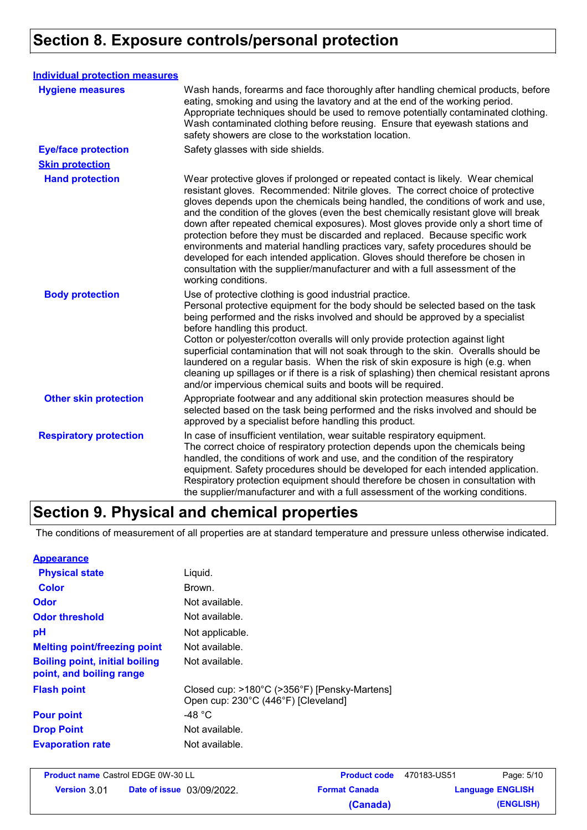## **Section 8. Exposure controls/personal protection**

| <b>Individual protection measures</b> |                                                                                                                                                                                                                                                                                                                                                                                                                                                                                                                                                                                                                                                                                                                                                                                                 |
|---------------------------------------|-------------------------------------------------------------------------------------------------------------------------------------------------------------------------------------------------------------------------------------------------------------------------------------------------------------------------------------------------------------------------------------------------------------------------------------------------------------------------------------------------------------------------------------------------------------------------------------------------------------------------------------------------------------------------------------------------------------------------------------------------------------------------------------------------|
| <b>Hygiene measures</b>               | Wash hands, forearms and face thoroughly after handling chemical products, before<br>eating, smoking and using the lavatory and at the end of the working period.<br>Appropriate techniques should be used to remove potentially contaminated clothing.<br>Wash contaminated clothing before reusing. Ensure that eyewash stations and<br>safety showers are close to the workstation location.                                                                                                                                                                                                                                                                                                                                                                                                 |
| <b>Eye/face protection</b>            | Safety glasses with side shields.                                                                                                                                                                                                                                                                                                                                                                                                                                                                                                                                                                                                                                                                                                                                                               |
| <b>Skin protection</b>                |                                                                                                                                                                                                                                                                                                                                                                                                                                                                                                                                                                                                                                                                                                                                                                                                 |
| <b>Hand protection</b>                | Wear protective gloves if prolonged or repeated contact is likely. Wear chemical<br>resistant gloves. Recommended: Nitrile gloves. The correct choice of protective<br>gloves depends upon the chemicals being handled, the conditions of work and use,<br>and the condition of the gloves (even the best chemically resistant glove will break<br>down after repeated chemical exposures). Most gloves provide only a short time of<br>protection before they must be discarded and replaced. Because specific work<br>environments and material handling practices vary, safety procedures should be<br>developed for each intended application. Gloves should therefore be chosen in<br>consultation with the supplier/manufacturer and with a full assessment of the<br>working conditions. |
| <b>Body protection</b>                | Use of protective clothing is good industrial practice.<br>Personal protective equipment for the body should be selected based on the task<br>being performed and the risks involved and should be approved by a specialist<br>before handling this product.<br>Cotton or polyester/cotton overalls will only provide protection against light<br>superficial contamination that will not soak through to the skin. Overalls should be<br>laundered on a regular basis. When the risk of skin exposure is high (e.g. when<br>cleaning up spillages or if there is a risk of splashing) then chemical resistant aprons<br>and/or impervious chemical suits and boots will be required.                                                                                                           |
| <b>Other skin protection</b>          | Appropriate footwear and any additional skin protection measures should be<br>selected based on the task being performed and the risks involved and should be<br>approved by a specialist before handling this product.                                                                                                                                                                                                                                                                                                                                                                                                                                                                                                                                                                         |
| <b>Respiratory protection</b>         | In case of insufficient ventilation, wear suitable respiratory equipment.<br>The correct choice of respiratory protection depends upon the chemicals being<br>handled, the conditions of work and use, and the condition of the respiratory<br>equipment. Safety procedures should be developed for each intended application.<br>Respiratory protection equipment should therefore be chosen in consultation with<br>the supplier/manufacturer and with a full assessment of the working conditions.                                                                                                                                                                                                                                                                                           |

## **Section 9. Physical and chemical properties**

The conditions of measurement of all properties are at standard temperature and pressure unless otherwise indicated.

| <b>Appearance</b>                                                 |                                                                                     |
|-------------------------------------------------------------------|-------------------------------------------------------------------------------------|
| <b>Physical state</b>                                             | Liquid.                                                                             |
| Color                                                             | Brown.                                                                              |
| Odor                                                              | Not available.                                                                      |
| <b>Odor threshold</b>                                             | Not available.                                                                      |
| pH                                                                | Not applicable.                                                                     |
| <b>Melting point/freezing point</b>                               | Not available.                                                                      |
| <b>Boiling point, initial boiling</b><br>point, and boiling range | Not available.                                                                      |
| <b>Flash point</b>                                                | Closed cup: >180°C (>356°F) [Pensky-Martens]<br>Open cup: 230°C (446°F) [Cleveland] |
| <b>Pour point</b>                                                 | -48 $^{\circ}$ C                                                                    |
| <b>Drop Point</b>                                                 | Not available.                                                                      |
| <b>Evaporation rate</b>                                           | Not available.                                                                      |

| <b>Product name Castrol EDGE 0W-30 LL</b> |                                  | <b>Product code</b>  | 470183-US51             | Page: 5/10 |
|-------------------------------------------|----------------------------------|----------------------|-------------------------|------------|
| <b>Version 3.01</b>                       | <b>Date of issue</b> 03/09/2022. | <b>Format Canada</b> | <b>Language ENGLISH</b> |            |
|                                           |                                  | (Canada)             |                         | (ENGLISH)  |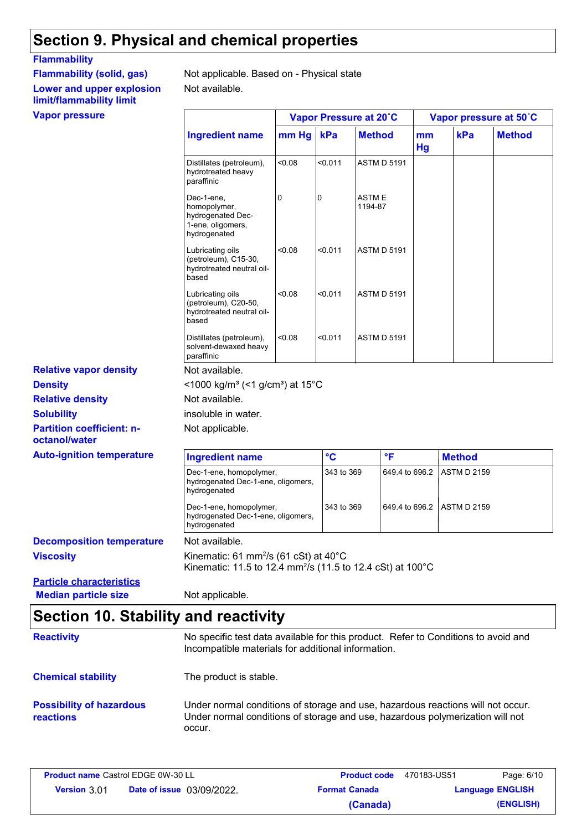## **Section 9. Physical and chemical properties**

### **Flammability**

## **Lower and upper explosion limit/flammability limit**

Not available. **Flammability (solid, gas)** Not applicable. Based on - Physical state

| <b>Vapor pressure</b>                             |                                                                                                                             |                              |                 | Vapor Pressure at 20°C |                    |                    | Vapor pressure at 50°C |
|---------------------------------------------------|-----------------------------------------------------------------------------------------------------------------------------|------------------------------|-----------------|------------------------|--------------------|--------------------|------------------------|
|                                                   | <b>Ingredient name</b>                                                                                                      | mm Hg                        | kPa             | <b>Method</b>          | mm<br>Hg           | kPa                | <b>Method</b>          |
|                                                   | Distillates (petroleum),<br>hydrotreated heavy<br>paraffinic                                                                | 0.08                         | < 0.011         | <b>ASTM D 5191</b>     |                    |                    |                        |
|                                                   | Dec-1-ene,<br>homopolymer,<br>hydrogenated Dec-<br>1-ene, oligomers,<br>hydrogenated                                        | 0                            | 0               | ASTM E<br>1194-87      |                    |                    |                        |
|                                                   | Lubricating oils<br>(petroleum), C15-30,<br>hydrotreated neutral oil-<br>based                                              | < 0.08                       | < 0.011         | <b>ASTM D 5191</b>     |                    |                    |                        |
|                                                   | Lubricating oils<br>(petroleum), C20-50,<br>hydrotreated neutral oil-<br>based                                              | < 0.08                       | < 0.011         | <b>ASTM D 5191</b>     |                    |                    |                        |
|                                                   | Distillates (petroleum),<br>solvent-dewaxed heavy<br>paraffinic                                                             | <0.08                        | < 0.011         | <b>ASTM D 5191</b>     |                    |                    |                        |
| <b>Relative vapor density</b>                     | Not available.                                                                                                              |                              |                 |                        |                    |                    |                        |
| <b>Density</b>                                    | <1000 kg/m <sup>3</sup> (<1 g/cm <sup>3</sup> ) at 15°C                                                                     |                              |                 |                        |                    |                    |                        |
| <b>Relative density</b>                           | Not available.                                                                                                              |                              |                 |                        |                    |                    |                        |
| <b>Solubility</b>                                 | insoluble in water.                                                                                                         |                              |                 |                        |                    |                    |                        |
| <b>Partition coefficient: n-</b><br>octanol/water | Not applicable.                                                                                                             |                              |                 |                        |                    |                    |                        |
| <b>Auto-ignition temperature</b>                  | <b>Ingredient name</b>                                                                                                      |                              | $\rm ^{\circ}C$ | °F                     |                    | <b>Method</b>      |                        |
|                                                   | Dec-1-ene, homopolymer,<br>hydrogenated Dec-1-ene, oligomers,<br>hydrogenated                                               |                              | 343 to 369      |                        | 649.4 to 696.2     | <b>ASTM D 2159</b> |                        |
|                                                   | Dec-1-ene, homopolymer,<br>hydrogenated Dec-1-ene, oligomers,<br>hydrogenated                                               | 649.4 to 696.2<br>343 to 369 |                 |                        | <b>ASTM D 2159</b> |                    |                        |
| <b>Decomposition temperature</b>                  | Not available.                                                                                                              |                              |                 |                        |                    |                    |                        |
| <b>Viscosity</b>                                  | Kinematic: 61 mm <sup>2</sup> /s (61 cSt) at 40°C<br>Kinematic: 11.5 to 12.4 mm <sup>2</sup> /s (11.5 to 12.4 cSt) at 100°C |                              |                 |                        |                    |                    |                        |
| <b>Particle characteristics</b>                   |                                                                                                                             |                              |                 |                        |                    |                    |                        |
| <b>Median particle size</b>                       | Not applicable.                                                                                                             |                              |                 |                        |                    |                    |                        |

## **Section 10. Stability and reactivity**

| <b>Reactivity</b>                            | No specific test data available for this product. Refer to Conditions to avoid and<br>Incompatible materials for additional information.                                   |
|----------------------------------------------|----------------------------------------------------------------------------------------------------------------------------------------------------------------------------|
| <b>Chemical stability</b>                    | The product is stable.                                                                                                                                                     |
| <b>Possibility of hazardous</b><br>reactions | Under normal conditions of storage and use, hazardous reactions will not occur.<br>Under normal conditions of storage and use, hazardous polymerization will not<br>occur. |

| <b>Product name Castrol EDGE 0W-30 LL</b> |                                  | <b>Product code</b> 470183-US51 |                         | Page: 6/10 |
|-------------------------------------------|----------------------------------|---------------------------------|-------------------------|------------|
| <b>Version 3.01</b>                       | <b>Date of issue</b> 03/09/2022. | <b>Format Canada</b>            | <b>Language ENGLISH</b> |            |
|                                           |                                  | (Canada)                        |                         | (ENGLISH)  |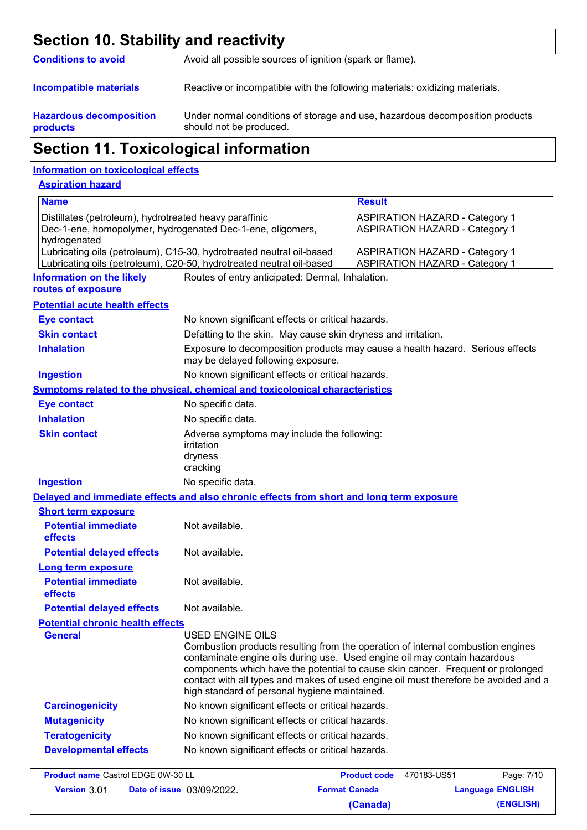| Section 10. Stability and reactivity       |                                                                                                         |  |  |  |
|--------------------------------------------|---------------------------------------------------------------------------------------------------------|--|--|--|
| <b>Conditions to avoid</b>                 | Avoid all possible sources of ignition (spark or flame).                                                |  |  |  |
| <b>Incompatible materials</b>              | Reactive or incompatible with the following materials: oxidizing materials.                             |  |  |  |
| <b>Hazardous decomposition</b><br>products | Under normal conditions of storage and use, hazardous decomposition products<br>should not be produced. |  |  |  |
|                                            | <b>Section 11. Toxicological information</b>                                                            |  |  |  |

### **Information on toxicological effects**

### **Aspiration hazard**

| <b>Name</b>                                                            |                                                                                                                                                                                                                                                                                                                                                                                                                    | <b>Result</b>        |                                                                                |
|------------------------------------------------------------------------|--------------------------------------------------------------------------------------------------------------------------------------------------------------------------------------------------------------------------------------------------------------------------------------------------------------------------------------------------------------------------------------------------------------------|----------------------|--------------------------------------------------------------------------------|
| Distillates (petroleum), hydrotreated heavy paraffinic<br>hydrogenated | Dec-1-ene, homopolymer, hydrogenated Dec-1-ene, oligomers,                                                                                                                                                                                                                                                                                                                                                         |                      | <b>ASPIRATION HAZARD - Category 1</b><br><b>ASPIRATION HAZARD - Category 1</b> |
|                                                                        | Lubricating oils (petroleum), C15-30, hydrotreated neutral oil-based<br>Lubricating oils (petroleum), C20-50, hydrotreated neutral oil-based                                                                                                                                                                                                                                                                       |                      | <b>ASPIRATION HAZARD - Category 1</b><br><b>ASPIRATION HAZARD - Category 1</b> |
| <b>Information on the likely</b><br>routes of exposure                 | Routes of entry anticipated: Dermal, Inhalation.                                                                                                                                                                                                                                                                                                                                                                   |                      |                                                                                |
| <b>Potential acute health effects</b>                                  |                                                                                                                                                                                                                                                                                                                                                                                                                    |                      |                                                                                |
| <b>Eye contact</b>                                                     | No known significant effects or critical hazards.                                                                                                                                                                                                                                                                                                                                                                  |                      |                                                                                |
| <b>Skin contact</b>                                                    | Defatting to the skin. May cause skin dryness and irritation.                                                                                                                                                                                                                                                                                                                                                      |                      |                                                                                |
| <b>Inhalation</b>                                                      | Exposure to decomposition products may cause a health hazard. Serious effects<br>may be delayed following exposure.                                                                                                                                                                                                                                                                                                |                      |                                                                                |
| <b>Ingestion</b>                                                       | No known significant effects or critical hazards.                                                                                                                                                                                                                                                                                                                                                                  |                      |                                                                                |
|                                                                        | Symptoms related to the physical, chemical and toxicological characteristics                                                                                                                                                                                                                                                                                                                                       |                      |                                                                                |
| <b>Eye contact</b>                                                     | No specific data.                                                                                                                                                                                                                                                                                                                                                                                                  |                      |                                                                                |
| <b>Inhalation</b>                                                      | No specific data.                                                                                                                                                                                                                                                                                                                                                                                                  |                      |                                                                                |
| <b>Skin contact</b>                                                    | Adverse symptoms may include the following:<br>irritation<br>dryness<br>cracking                                                                                                                                                                                                                                                                                                                                   |                      |                                                                                |
| <b>Ingestion</b>                                                       | No specific data.                                                                                                                                                                                                                                                                                                                                                                                                  |                      |                                                                                |
|                                                                        | Delayed and immediate effects and also chronic effects from short and long term exposure                                                                                                                                                                                                                                                                                                                           |                      |                                                                                |
| <b>Short term exposure</b>                                             |                                                                                                                                                                                                                                                                                                                                                                                                                    |                      |                                                                                |
| <b>Potential immediate</b><br>effects                                  | Not available.                                                                                                                                                                                                                                                                                                                                                                                                     |                      |                                                                                |
| <b>Potential delayed effects</b>                                       | Not available.                                                                                                                                                                                                                                                                                                                                                                                                     |                      |                                                                                |
| <b>Long term exposure</b>                                              |                                                                                                                                                                                                                                                                                                                                                                                                                    |                      |                                                                                |
| <b>Potential immediate</b><br>effects                                  | Not available.                                                                                                                                                                                                                                                                                                                                                                                                     |                      |                                                                                |
| <b>Potential delayed effects</b>                                       | Not available.                                                                                                                                                                                                                                                                                                                                                                                                     |                      |                                                                                |
| <b>Potential chronic health effects</b>                                |                                                                                                                                                                                                                                                                                                                                                                                                                    |                      |                                                                                |
| <b>General</b>                                                         | <b>USED ENGINE OILS</b><br>Combustion products resulting from the operation of internal combustion engines<br>contaminate engine oils during use. Used engine oil may contain hazardous<br>components which have the potential to cause skin cancer. Frequent or prolonged<br>contact with all types and makes of used engine oil must therefore be avoided and a<br>high standard of personal hygiene maintained. |                      |                                                                                |
| <b>Carcinogenicity</b>                                                 | No known significant effects or critical hazards.                                                                                                                                                                                                                                                                                                                                                                  |                      |                                                                                |
| <b>Mutagenicity</b>                                                    | No known significant effects or critical hazards.                                                                                                                                                                                                                                                                                                                                                                  |                      |                                                                                |
| <b>Teratogenicity</b>                                                  | No known significant effects or critical hazards.                                                                                                                                                                                                                                                                                                                                                                  |                      |                                                                                |
| <b>Developmental effects</b>                                           | No known significant effects or critical hazards.                                                                                                                                                                                                                                                                                                                                                                  |                      |                                                                                |
| <b>Product name Castrol EDGE 0W-30 LL</b>                              |                                                                                                                                                                                                                                                                                                                                                                                                                    | <b>Product code</b>  | Page: 7/10<br>470183-US51                                                      |
| Version 3.01                                                           | Date of issue 03/09/2022.                                                                                                                                                                                                                                                                                                                                                                                          | <b>Format Canada</b> | <b>Language ENGLISH</b>                                                        |

**(Canada) (ENGLISH)**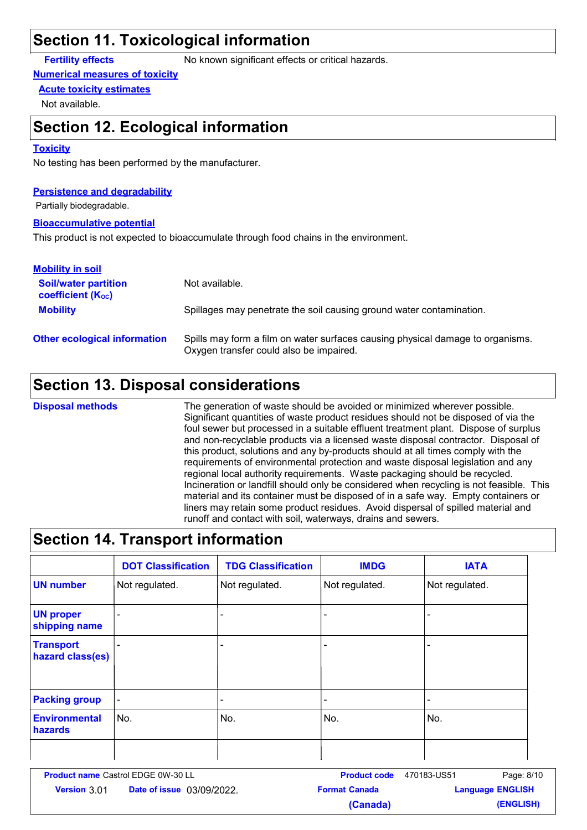## **Section 11. Toxicological information**

**Fertility effects** No known significant effects or critical hazards.

### **Numerical measures of toxicity**

### **Acute toxicity estimates**

Not available.

### **Section 12. Ecological information**

### **Toxicity**

No testing has been performed by the manufacturer.

### **Persistence and degradability**

Partially biodegradable.

### **Bioaccumulative potential**

This product is not expected to bioaccumulate through food chains in the environment.

| <b>Mobility in soil</b>                                 |                                                                                                                           |
|---------------------------------------------------------|---------------------------------------------------------------------------------------------------------------------------|
| <b>Soil/water partition</b><br><b>coefficient (Koc)</b> | Not available.                                                                                                            |
| <b>Mobility</b>                                         | Spillages may penetrate the soil causing ground water contamination.                                                      |
| <b>Other ecological information</b>                     | Spills may form a film on water surfaces causing physical damage to organisms.<br>Oxygen transfer could also be impaired. |

## **Section 13. Disposal considerations**

**Disposal methods**

The generation of waste should be avoided or minimized wherever possible. Significant quantities of waste product residues should not be disposed of via the foul sewer but processed in a suitable effluent treatment plant. Dispose of surplus and non-recyclable products via a licensed waste disposal contractor. Disposal of this product, solutions and any by-products should at all times comply with the requirements of environmental protection and waste disposal legislation and any regional local authority requirements. Waste packaging should be recycled. Incineration or landfill should only be considered when recycling is not feasible. This material and its container must be disposed of in a safe way. Empty containers or liners may retain some product residues. Avoid dispersal of spilled material and runoff and contact with soil, waterways, drains and sewers.

### **Section 14. Transport information**

|                                      | <b>DOT Classification</b> | <b>TDG Classification</b> | <b>IMDG</b>    | <b>IATA</b>    |
|--------------------------------------|---------------------------|---------------------------|----------------|----------------|
| <b>UN number</b>                     | Not regulated.            | Not regulated.            | Not regulated. | Not regulated. |
| <b>UN proper</b><br>shipping name    | $\blacksquare$            |                           |                | -              |
| <b>Transport</b><br>hazard class(es) |                           |                           |                | ۰              |
| <b>Packing group</b>                 | $\blacksquare$            | ۰                         |                | ۰              |
| <b>Environmental</b><br>hazards      | No.                       | No.                       | No.            | No.            |
|                                      |                           |                           |                |                |

| <b>Product name Castrol EDGE 0W-30 LL</b> |                                  | <b>Product code</b>  | 470183-US51             | Page: 8/10 |
|-------------------------------------------|----------------------------------|----------------------|-------------------------|------------|
| <b>Version 301</b>                        | <b>Date of issue</b> 03/09/2022. | <b>Format Canada</b> | <b>Language ENGLISH</b> |            |
|                                           |                                  | (Canada)             |                         | (ENGLISH)  |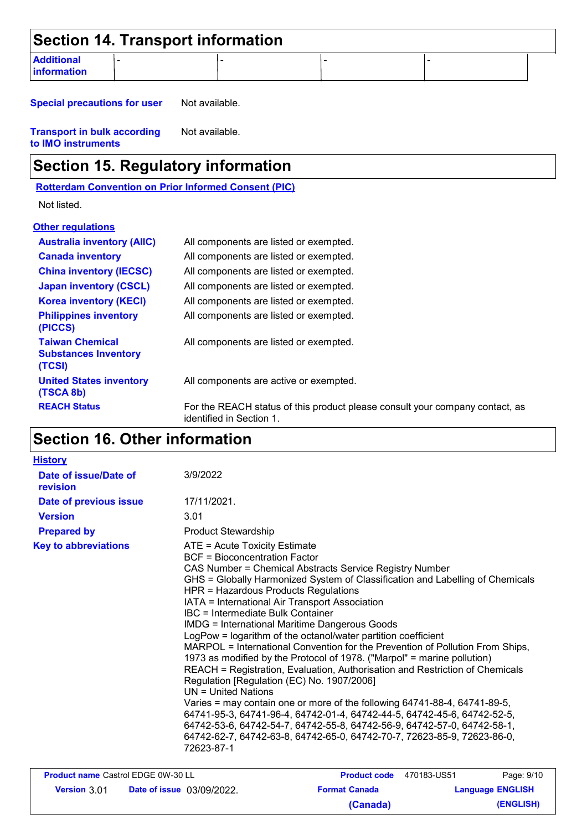| Section 14. Transport information       |  |  |  |  |  |  |
|-----------------------------------------|--|--|--|--|--|--|
| <b>Additional</b><br><b>Information</b> |  |  |  |  |  |  |

**Special precautions for user** Not available.

**Transport in bulk according to IMO instruments** Not available.

## **Section 15. Regulatory information**

**Rotterdam Convention on Prior Informed Consent (PIC)**

Not listed.

| <b>Other regulations</b>                                        |                                                                                                          |
|-----------------------------------------------------------------|----------------------------------------------------------------------------------------------------------|
| <b>Australia inventory (AIIC)</b>                               | All components are listed or exempted.                                                                   |
| <b>Canada inventory</b>                                         | All components are listed or exempted.                                                                   |
| <b>China inventory (IECSC)</b>                                  | All components are listed or exempted.                                                                   |
| <b>Japan inventory (CSCL)</b>                                   | All components are listed or exempted.                                                                   |
| <b>Korea inventory (KECI)</b>                                   | All components are listed or exempted.                                                                   |
| <b>Philippines inventory</b><br>(PICCS)                         | All components are listed or exempted.                                                                   |
| <b>Taiwan Chemical</b><br><b>Substances Inventory</b><br>(TCSI) | All components are listed or exempted.                                                                   |
| <b>United States inventory</b><br>(TSCA 8b)                     | All components are active or exempted.                                                                   |
| <b>REACH Status</b>                                             | For the REACH status of this product please consult your company contact, as<br>identified in Section 1. |

## **Section 16. Other information**

| <b>History</b>                     |                                                                                                                                                                                                                                                                                                                                                                                                                                                                                                                                                                                                                                                                                                                                                                                                                                                                                                                                                                                                                                                                                                                          |                          |                         |  |
|------------------------------------|--------------------------------------------------------------------------------------------------------------------------------------------------------------------------------------------------------------------------------------------------------------------------------------------------------------------------------------------------------------------------------------------------------------------------------------------------------------------------------------------------------------------------------------------------------------------------------------------------------------------------------------------------------------------------------------------------------------------------------------------------------------------------------------------------------------------------------------------------------------------------------------------------------------------------------------------------------------------------------------------------------------------------------------------------------------------------------------------------------------------------|--------------------------|-------------------------|--|
| Date of issue/Date of<br>revision  | 3/9/2022                                                                                                                                                                                                                                                                                                                                                                                                                                                                                                                                                                                                                                                                                                                                                                                                                                                                                                                                                                                                                                                                                                                 |                          |                         |  |
| Date of previous issue             | 17/11/2021.                                                                                                                                                                                                                                                                                                                                                                                                                                                                                                                                                                                                                                                                                                                                                                                                                                                                                                                                                                                                                                                                                                              |                          |                         |  |
| <b>Version</b>                     | 3.01                                                                                                                                                                                                                                                                                                                                                                                                                                                                                                                                                                                                                                                                                                                                                                                                                                                                                                                                                                                                                                                                                                                     |                          |                         |  |
| <b>Prepared by</b>                 | <b>Product Stewardship</b>                                                                                                                                                                                                                                                                                                                                                                                                                                                                                                                                                                                                                                                                                                                                                                                                                                                                                                                                                                                                                                                                                               |                          |                         |  |
| <b>Key to abbreviations</b>        | ATE = Acute Toxicity Estimate<br><b>BCF</b> = Bioconcentration Factor<br>CAS Number = Chemical Abstracts Service Registry Number<br>GHS = Globally Harmonized System of Classification and Labelling of Chemicals<br>HPR = Hazardous Products Regulations<br>IATA = International Air Transport Association<br>IBC = Intermediate Bulk Container<br><b>IMDG = International Maritime Dangerous Goods</b><br>LogPow = logarithm of the octanol/water partition coefficient<br>MARPOL = International Convention for the Prevention of Pollution From Ships,<br>1973 as modified by the Protocol of 1978. ("Marpol" = marine pollution)<br>REACH = Registration, Evaluation, Authorisation and Restriction of Chemicals<br>Regulation [Regulation (EC) No. 1907/2006]<br>$UN = United Nations$<br>Varies = may contain one or more of the following 64741-88-4, 64741-89-5,<br>64741-95-3, 64741-96-4, 64742-01-4, 64742-44-5, 64742-45-6, 64742-52-5,<br>64742-53-6, 64742-54-7, 64742-55-8, 64742-56-9, 64742-57-0, 64742-58-1,<br>64742-62-7, 64742-63-8, 64742-65-0, 64742-70-7, 72623-85-9, 72623-86-0,<br>72623-87-1 |                          |                         |  |
| Product name Castrol EDGE 0W-30 LL |                                                                                                                                                                                                                                                                                                                                                                                                                                                                                                                                                                                                                                                                                                                                                                                                                                                                                                                                                                                                                                                                                                                          | Product code 470183-US51 | Page: 9/10              |  |
| <b>Version 3.01</b>                | <b>Date of issue 03/09/2022.</b>                                                                                                                                                                                                                                                                                                                                                                                                                                                                                                                                                                                                                                                                                                                                                                                                                                                                                                                                                                                                                                                                                         | <b>Format Canada</b>     | <b>Language ENGLISH</b> |  |
|                                    |                                                                                                                                                                                                                                                                                                                                                                                                                                                                                                                                                                                                                                                                                                                                                                                                                                                                                                                                                                                                                                                                                                                          | (Canada)                 | (ENGLISH)               |  |